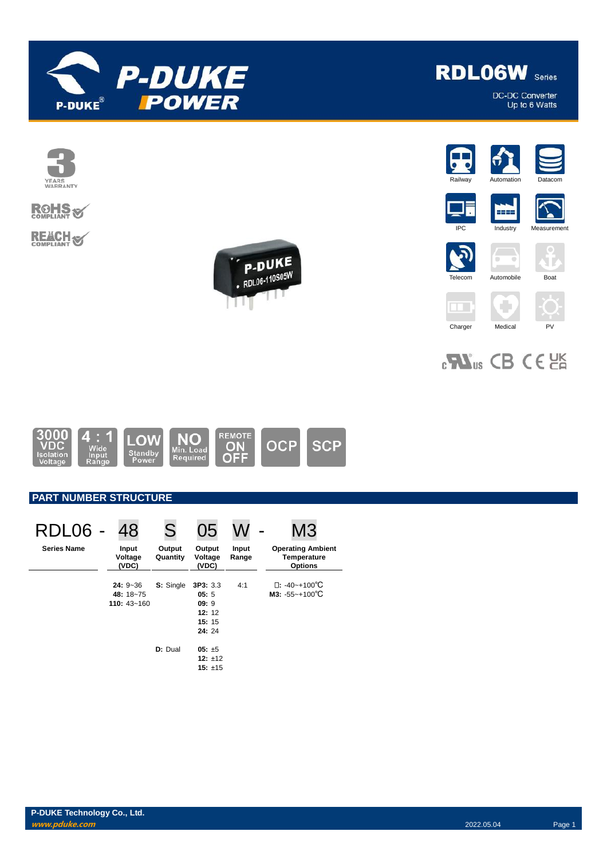



## **ROHS REACH S**





**RDL06W** Series

DC-DC Converter<br>Up to 6 Watts











2222

۰  $\blacksquare$ 

# 



### **PART NUMBER STRUCTURE**

| RDL06 -            | 48                                        | S                  | 05                                                 |                | M3                                                               |
|--------------------|-------------------------------------------|--------------------|----------------------------------------------------|----------------|------------------------------------------------------------------|
| <b>Series Name</b> | Input<br>Voltage<br>(VDC)                 | Output<br>Quantity | Output<br>Voltage<br>(VDC)                         | Input<br>Range | <b>Operating Ambient</b><br><b>Temperature</b><br><b>Options</b> |
|                    | $24:9-36$<br>48: 18~75<br>110: $43 - 160$ | S: Single          | 3P3:3.3<br>05:5<br>09:9<br>12:12<br>15:15<br>24:24 | 4:1            | $\Box$ : -40~+100°C<br>$M3: -55 - +100^{\circ}C$                 |
|                    |                                           | D: Dual            | $05: \pm 5$<br>12: $±12$<br>15: $±15$              |                |                                                                  |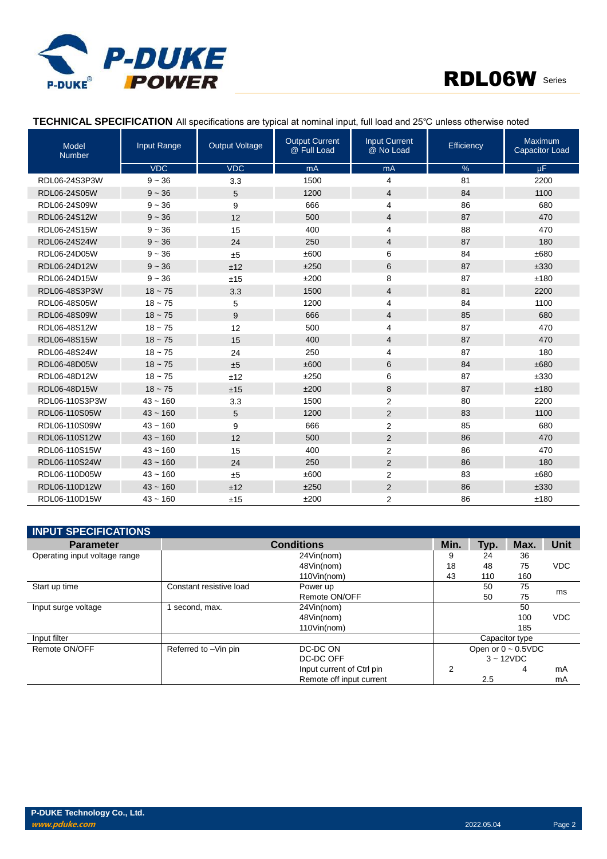



#### **TECHNICAL SPECIFICATION** All specifications are typical at nominal input, full load and 25℃ unless otherwise noted

| Model<br><b>Number</b> | Input Range | <b>Output Voltage</b> | <b>Output Current</b><br>@ Full Load | <b>Input Current</b><br>@ No Load | Efficiency | Maximum<br><b>Capacitor Load</b> |
|------------------------|-------------|-----------------------|--------------------------------------|-----------------------------------|------------|----------------------------------|
|                        | <b>VDC</b>  | <b>VDC</b>            | mA                                   | mA                                | %          | $\mu$ F                          |
| RDL06-24S3P3W          | $9 - 36$    | 3.3                   | 1500                                 | $\overline{4}$                    | 81         | 2200                             |
| RDL06-24S05W           | $9 - 36$    | 5                     | 1200                                 | 4                                 | 84         | 1100                             |
| RDL06-24S09W           | $9 - 36$    | 9                     | 666                                  | $\overline{4}$                    | 86         | 680                              |
| RDL06-24S12W           | $9 - 36$    | 12                    | 500                                  | 4                                 | 87         | 470                              |
| RDL06-24S15W           | $9 - 36$    | 15                    | 400                                  | 4                                 | 88         | 470                              |
| RDL06-24S24W           | $9 - 36$    | 24                    | 250                                  | 4                                 | 87         | 180                              |
| RDL06-24D05W           | $9 - 36$    | ±5                    | ±600                                 | 6                                 | 84         | ±680                             |
| RDL06-24D12W           | $9 - 36$    | ±12                   | ±250                                 | 6                                 | 87         | ±330                             |
| RDL06-24D15W           | $9 - 36$    | ±15                   | ±200                                 | 8                                 | 87         | ±180                             |
| RDL06-48S3P3W          | $18 - 75$   | 3.3                   | 1500                                 | $\overline{4}$                    | 81         | 2200                             |
| RDL06-48S05W           | $18 - 75$   | 5                     | 1200                                 | 4                                 | 84         | 1100                             |
| RDL06-48S09W           | $18 - 75$   | 9                     | 666                                  | $\overline{4}$                    | 85         | 680                              |
| RDL06-48S12W           | $18 - 75$   | 12                    | 500                                  | $\overline{4}$                    | 87         | 470                              |
| RDL06-48S15W           | $18 - 75$   | 15                    | 400                                  | $\overline{4}$                    | 87         | 470                              |
| RDL06-48S24W           | $18 - 75$   | 24                    | 250                                  | 4                                 | 87         | 180                              |
| RDL06-48D05W           | $18 - 75$   | ±5                    | ±600                                 | 6                                 | 84         | ±680                             |
| RDL06-48D12W           | $18 - 75$   | ±12                   | ±250                                 | 6                                 | 87         | ±330                             |
| RDL06-48D15W           | $18 - 75$   | ±15                   | ±200                                 | 8                                 | 87         | ±180                             |
| RDL06-110S3P3W         | $43 - 160$  | 3.3                   | 1500                                 | 2                                 | 80         | 2200                             |
| RDL06-110S05W          | $43 - 160$  | 5                     | 1200                                 | $\overline{2}$                    | 83         | 1100                             |
| RDL06-110S09W          | $43 - 160$  | 9                     | 666                                  | 2                                 | 85         | 680                              |
| RDL06-110S12W          | $43 - 160$  | 12                    | 500                                  | $\overline{2}$                    | 86         | 470                              |
| RDL06-110S15W          | $43 - 160$  | 15                    | 400                                  | $\overline{2}$                    | 86         | 470                              |
| RDL06-110S24W          | $43 - 160$  | 24                    | 250                                  | $\overline{2}$                    | 86         | 180                              |
| RDL06-110D05W          | $43 - 160$  | ±5                    | ±600                                 | $\overline{2}$                    | 83         | ±680                             |
| RDL06-110D12W          | $43 - 160$  | ±12                   | ±250                                 | $\overline{2}$                    | 86         | ±330                             |
| RDL06-110D15W          | $43 - 160$  | ±15                   | ±200                                 | $\overline{2}$                    | 86         | ±180                             |

| <b>INPUT SPECIFICATIONS</b>   |                         |                           |                          |      |             |            |
|-------------------------------|-------------------------|---------------------------|--------------------------|------|-------------|------------|
| <b>Parameter</b>              |                         | <b>Conditions</b>         | Min.                     | Typ. | Max.        | Unit       |
| Operating input voltage range | 24Vin(nom)              |                           | 9                        | 24   | 36          |            |
|                               |                         | 48Vin(nom)                | 18                       | 48   | 75          | <b>VDC</b> |
|                               |                         | 110Vin(nom)               | 43                       | 110  | 160         |            |
| Start up time                 | Constant resistive load | Power up                  |                          | 50   | 75          |            |
|                               |                         | Remote ON/OFF             |                          | 50   | 75          | ms         |
| Input surge voltage           | second, max.            | 24Vin(nom)                |                          |      | 50          |            |
|                               |                         | 48Vin(nom)                |                          |      | 100         | <b>VDC</b> |
|                               |                         | 110Vin(nom)               |                          |      | 185         |            |
| Input filter                  |                         |                           | Capacitor type           |      |             |            |
| Remote ON/OFF                 | Referred to -Vin pin    | DC-DC ON                  | Open or $0 \sim 0.5$ VDC |      |             |            |
|                               |                         | DC-DC OFF                 |                          |      | $3 - 12VDC$ |            |
|                               |                         | Input current of Ctrl pin | 2                        |      | 4           | mA         |
|                               |                         | Remote off input current  |                          | 2.5  |             | mA         |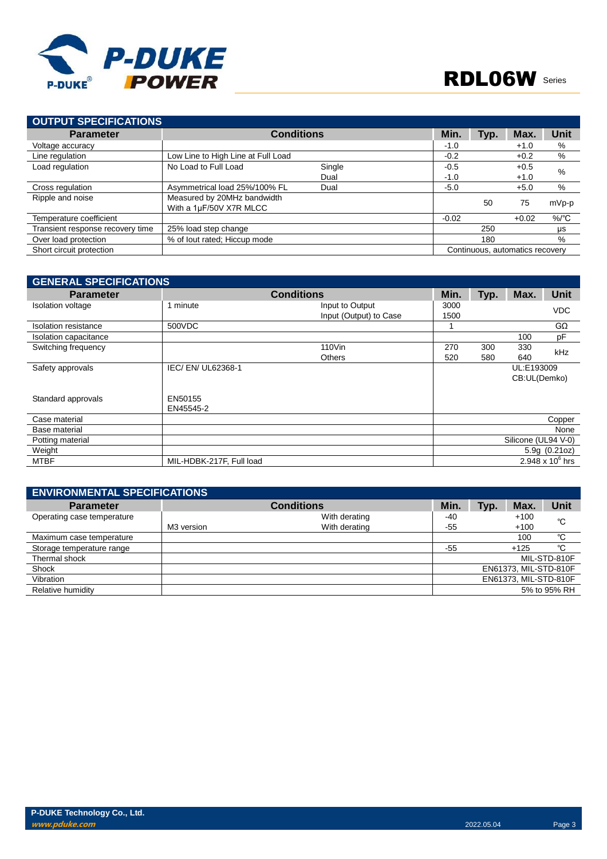

| <b>OUTPUT SPECIFICATIONS</b>     |                                                        |        |         |      |                                 |                  |
|----------------------------------|--------------------------------------------------------|--------|---------|------|---------------------------------|------------------|
| <b>Parameter</b>                 | <b>Conditions</b>                                      |        | Min.    | Typ. | Max.                            | <b>Unit</b>      |
| Voltage accuracy                 |                                                        |        | $-1.0$  |      | $+1.0$                          | %                |
| Line regulation                  | Low Line to High Line at Full Load                     |        | $-0.2$  |      | $+0.2$                          | %                |
| Load regulation                  | No Load to Full Load                                   | Single | $-0.5$  |      | $+0.5$                          | %                |
|                                  |                                                        | Dual   | $-1.0$  |      | $+1.0$                          |                  |
| Cross regulation                 | Asymmetrical load 25%/100% FL                          | Dual   | $-5.0$  |      | $+5.0$                          | %                |
| Ripple and noise                 | Measured by 20MHz bandwidth<br>With a 1µF/50V X7R MLCC |        |         | 50   | 75                              | mVp-p            |
| Temperature coefficient          |                                                        |        | $-0.02$ |      | $+0.02$                         | $%$ $^{\circ}$ C |
| Transient response recovery time | 25% load step change                                   |        |         | 250  |                                 | μs               |
| Over load protection             | % of lout rated; Hiccup mode                           |        |         | 180  |                                 | %                |
| Short circuit protection         |                                                        |        |         |      | Continuous, automatics recovery |                  |

| <b>GENERAL SPECIFICATIONS</b> |                          |                        |      |      |                     |                    |
|-------------------------------|--------------------------|------------------------|------|------|---------------------|--------------------|
| <b>Parameter</b>              |                          | <b>Conditions</b>      | Min. | Typ. | Max.                | <b>Unit</b>        |
| <b>Isolation voltage</b>      | 1 minute                 | Input to Output        | 3000 |      |                     | <b>VDC</b>         |
|                               |                          | Input (Output) to Case | 1500 |      |                     |                    |
| Isolation resistance          | 500VDC                   |                        |      |      |                     | GΩ                 |
| Isolation capacitance         |                          |                        |      |      | 100                 | pF                 |
| Switching frequency           |                          | 110Vin                 | 270  | 300  | 330                 | <b>kHz</b>         |
|                               |                          | <b>Others</b>          | 520  | 580  | 640                 |                    |
| Safety approvals              | IEC/EN/UL62368-1         |                        |      |      | UL:E193009          |                    |
|                               |                          |                        |      |      | CB:UL(Demko)        |                    |
|                               |                          |                        |      |      |                     |                    |
| Standard approvals            | EN50155                  |                        |      |      |                     |                    |
|                               | EN45545-2                |                        |      |      |                     |                    |
| Case material                 |                          |                        |      |      |                     | Copper             |
| Base material                 |                          |                        |      |      |                     | None               |
| Potting material              |                          |                        |      |      | Silicone (UL94 V-0) |                    |
| Weight                        |                          |                        |      |      |                     | 5.9g(0.21oz)       |
| <b>MTBF</b>                   | MIL-HDBK-217F, Full load |                        |      |      |                     | 2.948 x $10^6$ hrs |

| <b>ENVIRONMENTAL SPECIFICATIONS</b> |            |                   |       |      |                       |              |
|-------------------------------------|------------|-------------------|-------|------|-----------------------|--------------|
| <b>Parameter</b>                    |            | <b>Conditions</b> | Min.  | Typ. | Max.                  | Unit         |
| Operating case temperature          |            | With derating     | -40   |      | $+100$                | °C           |
|                                     | M3 version | With derating     | $-55$ |      | $+100$                |              |
| Maximum case temperature            |            |                   |       |      | 100                   | °C           |
| Storage temperature range           |            |                   | $-55$ |      | $+125$                | °C           |
| Thermal shock                       |            |                   |       |      |                       | MIL-STD-810F |
| Shock                               |            |                   |       |      | EN61373, MIL-STD-810F |              |
| Vibration                           |            |                   |       |      | EN61373, MIL-STD-810F |              |
| Relative humidity                   |            |                   |       |      |                       | 5% to 95% RH |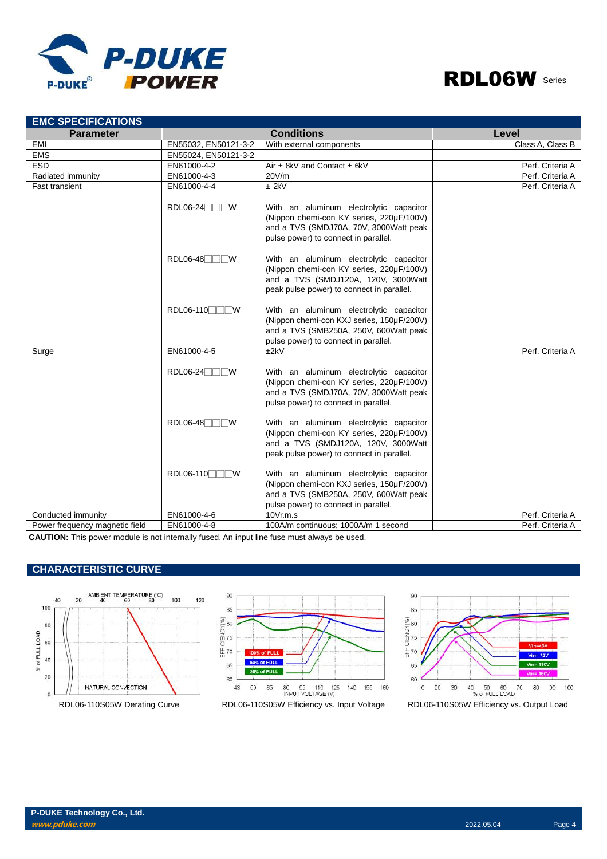



| <b>EMC SPECIFICATIONS</b>      |                              |                                                                                                                                                                         |                  |
|--------------------------------|------------------------------|-------------------------------------------------------------------------------------------------------------------------------------------------------------------------|------------------|
| <b>Parameter</b>               |                              | <b>Conditions</b>                                                                                                                                                       | Level            |
| EMI                            | EN55032, EN50121-3-2         | With external components                                                                                                                                                | Class A, Class B |
| <b>EMS</b>                     | EN55024, EN50121-3-2         |                                                                                                                                                                         |                  |
| <b>ESD</b>                     | EN61000-4-2                  | Air $\pm$ 8kV and Contact $\pm$ 6kV                                                                                                                                     | Perf. Criteria A |
| Radiated immunity              | EN61000-4-3                  | 20V/m                                                                                                                                                                   | Perf. Criteria A |
| <b>Fast transient</b>          | EN61000-4-4                  | $±$ 2kV                                                                                                                                                                 | Perf. Criteria A |
|                                | RDL06-24<br>™                | With an aluminum electrolytic capacitor<br>(Nippon chemi-con KY series, 220µF/100V)<br>and a TVS (SMDJ70A, 70V, 3000Watt peak<br>pulse power) to connect in parallel.   |                  |
|                                | RDL06-48 <sup></sup><br>- IW | With an aluminum electrolytic capacitor<br>(Nippon chemi-con KY series, 220µF/100V)<br>and a TVS (SMDJ120A, 120V, 3000Watt<br>peak pulse power) to connect in parallel. |                  |
|                                | RDL06-110                    | With an aluminum electrolytic capacitor<br>(Nippon chemi-con KXJ series, 150µF/200V)<br>and a TVS (SMB250A, 250V, 600Watt peak<br>pulse power) to connect in parallel.  |                  |
| Surge                          | EN61000-4-5                  | ±2kV                                                                                                                                                                    | Perf. Criteria A |
|                                | $RDL06-24$                   | With an aluminum electrolytic capacitor<br>(Nippon chemi-con KY series, 220µF/100V)<br>and a TVS (SMDJ70A, 70V, 3000Watt peak<br>pulse power) to connect in parallel.   |                  |
|                                | $RDL06-48$<br>- IW           | With an aluminum electrolytic capacitor<br>(Nippon chemi-con KY series, 220µF/100V)<br>and a TVS (SMDJ120A, 120V, 3000Watt<br>peak pulse power) to connect in parallel. |                  |
|                                | RDL06-110                    | With an aluminum electrolytic capacitor<br>(Nippon chemi-con KXJ series, 150µF/200V)<br>and a TVS (SMB250A, 250V, 600Watt peak<br>pulse power) to connect in parallel.  |                  |
| Conducted immunity             | EN61000-4-6                  | 10Vr.m.s                                                                                                                                                                | Perf. Criteria A |
| Power frequency magnetic field | EN61000-4-8                  | 100A/m continuous: 1000A/m 1 second                                                                                                                                     | Perf. Criteria A |

**CAUTION:** This power module is not internally fused. An input line fuse must always be used.

#### **CHARACTERISTIC CURVE**





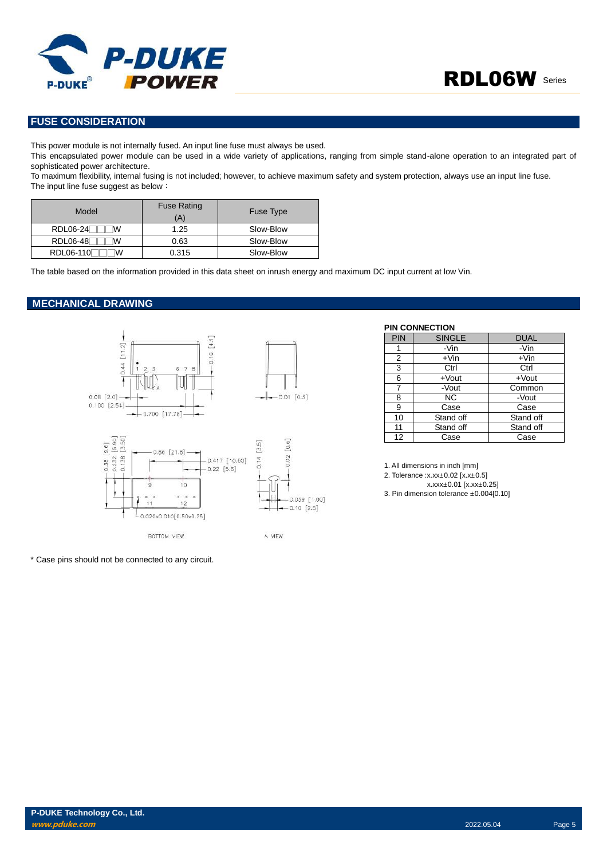

#### **FUSE CONSIDERATION**

This power module is not internally fused. An input line fuse must always be used.

This encapsulated power module can be used in a wide variety of applications, ranging from simple stand-alone operation to an integrated part of sophisticated power architecture.

To maximum flexibility, internal fusing is not included; however, to achieve maximum safety and system protection, always use an input line fuse. The input line fuse suggest as below:

| Model                 | <b>Fuse Rating</b><br>(A) | Fuse Type |
|-----------------------|---------------------------|-----------|
| <b>RDL06-24</b><br>ιw | 1.25                      | Slow-Blow |
| <b>RDL06-48</b><br>M  | 0.63                      | Slow-Blow |
| RDL06-110<br>w        | 0.315                     | Slow-Blow |

The table based on the information provided in this data sheet on inrush energy and maximum DC input current at low Vin.

#### **MECHANICAL DRAWING**



\* Case pins should not be connected to any circuit.

#### **PIN CONNECTION**

| <b>PIN</b> | <b>SINGLE</b> | <b>DUAL</b> |
|------------|---------------|-------------|
|            | -Vin          | -Vin        |
| 2          | $+V$ in       | $+V$ in     |
| 3          | Ctrl          | Ctrl        |
| 6          | $+$ Vout      | $+$ Vout    |
|            | -Vout         | Common      |
| 8          | NC.           | -Vout       |
| 9          | Case          | Case        |
| 10         | Stand off     | Stand off   |
| 11         | Stand off     | Stand off   |
| 12         | Case          | Case        |

1. All dimensions in inch [mm]

2. Tolerance :x.xx±0.02 [x.x±0.5]

x.xxx±0.01 [x.xx±0.25]

3. Pin dimension tolerance ±0.004[0.10]